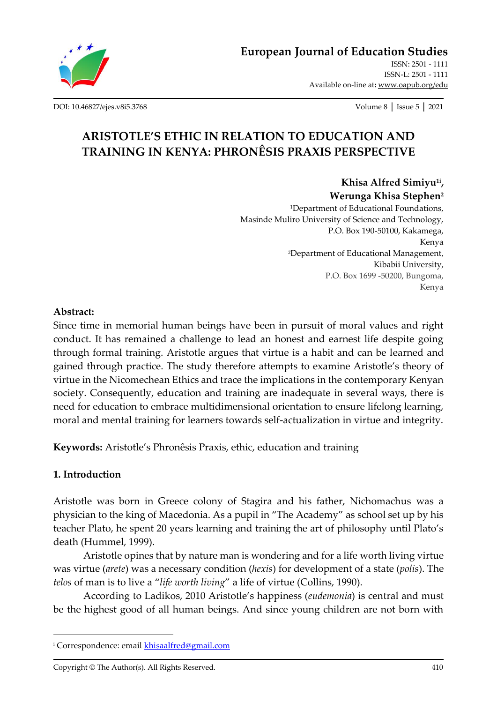

**[European Journal of Education Studies](http://oapub.org/edu/index.php/ejes)**

[ISSN: 2501 -](http://oapub.org/edu/index.php/ejes) 1111 [ISSN-L: 2501 -](http://oapub.org/edu/index.php/ejes) 1111 Available on-line at**:** [www.oapub.org/edu](http://www.oapub.org/edu)

[DOI: 10.46827/ejes.v8i5.3768](http://dx.doi.org/10.46827/ejes.v8i5.3768) Volume 8 │ Issue 5 │ 2021

# **ARISTOTLE'S ETHIC IN RELATION TO EDUCATION AND TRAINING IN KENYA: PHRONÊSIS PRAXIS PERSPECTIVE**

**Khisa Alfred Simiyu1i , Werunga Khisa Stephen<sup>2</sup>**

<sup>1</sup>Department of Educational Foundations, Masinde Muliro University of Science and Technology, P.O. Box 190-50100, Kakamega, Kenya <sup>2</sup>Department of Educational Management, Kibabii University, P.O. Box 1699 -50200, Bungoma, Kenya

#### **Abstract:**

Since time in memorial human beings have been in pursuit of moral values and right conduct. It has remained a challenge to lead an honest and earnest life despite going through formal training. Aristotle argues that virtue is a habit and can be learned and gained through practice. The study therefore attempts to examine Aristotle's theory of virtue in the Nicomechean Ethics and trace the implications in the contemporary Kenyan society. Consequently, education and training are inadequate in several ways, there is need for education to embrace multidimensional orientation to ensure lifelong learning, moral and mental training for learners towards self-actualization in virtue and integrity.

**Keywords:** Aristotle's Phronêsis Praxis, ethic, education and training

# **1. Introduction**

Aristotle was born in Greece colony of Stagira and his father, Nichomachus was a physician to the king of Macedonia. As a pupil in "The Academy" as school set up by his teacher Plato, he spent 20 years learning and training the art of philosophy until Plato's death (Hummel, 1999).

Aristotle opines that by nature man is wondering and for a life worth living virtue was virtue (*arete*) was a necessary condition (*hexis*) for development of a state (*polis*). The *telos* of man is to live a "*life worth living*" a life of virtue (Collins, 1990).

According to Ladikos, 2010 Aristotle's happiness (*eudemonia*) is central and must be the highest good of all human beings. And since young children are not born with

<sup>i</sup> Correspondence: emai[l khisaalfred@gmail.com](mailto:khisaalfred@gmail.com)

Copyright © The Author(s). All Rights Reserved. 410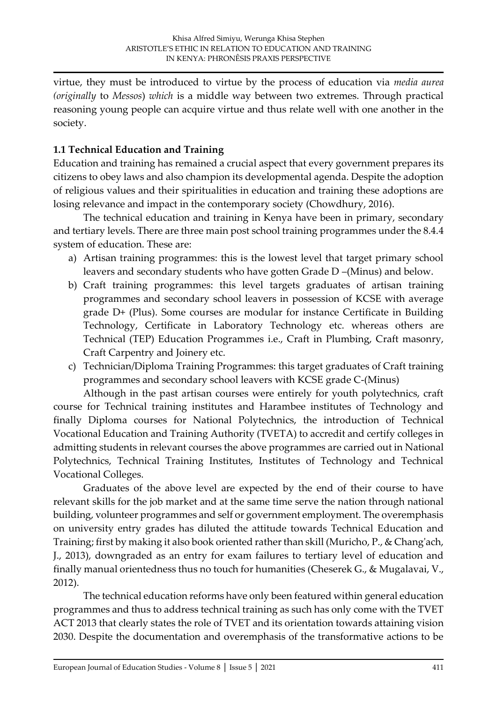virtue, they must be introduced to virtue by the process of education via *media aurea (originally* to *Messos*) *which* is a middle way between two extremes. Through practical reasoning young people can acquire virtue and thus relate well with one another in the society.

# **1.1 Technical Education and Training**

Education and training has remained a crucial aspect that every government prepares its citizens to obey laws and also champion its developmental agenda. Despite the adoption of religious values and their spiritualities in education and training these adoptions are losing relevance and impact in the contemporary society (Chowdhury, 2016).

The technical education and training in Kenya have been in primary, secondary and tertiary levels. There are three main post school training programmes under the 8.4.4 system of education. These are:

- a) Artisan training programmes: this is the lowest level that target primary school leavers and secondary students who have gotten Grade D –(Minus) and below.
- b) Craft training programmes: this level targets graduates of artisan training programmes and secondary school leavers in possession of KCSE with average grade D+ (Plus). Some courses are modular for instance Certificate in Building Technology, Certificate in Laboratory Technology etc. whereas others are Technical (TEP) Education Programmes i.e., Craft in Plumbing, Craft masonry, Craft Carpentry and Joinery etc.
- c) Technician/Diploma Training Programmes: this target graduates of Craft training programmes and secondary school leavers with KCSE grade C-(Minus)

Although in the past artisan courses were entirely for youth polytechnics, craft course for Technical training institutes and Harambee institutes of Technology and finally Diploma courses for National Polytechnics, the introduction of Technical Vocational Education and Training Authority (TVETA) to accredit and certify colleges in admitting students in relevant courses the above programmes are carried out in National Polytechnics, Technical Training Institutes, Institutes of Technology and Technical Vocational Colleges.

Graduates of the above level are expected by the end of their course to have relevant skills for the job market and at the same time serve the nation through national building, volunteer programmes and self or government employment. The overemphasis on university entry grades has diluted the attitude towards Technical Education and Training; first by making it also book oriented rather than skill (Muricho, P., & Chang'ach, J., 2013), downgraded as an entry for exam failures to tertiary level of education and finally manual orientedness thus no touch for humanities (Cheserek G., & Mugalavai, V., 2012).

The technical education reforms have only been featured within general education programmes and thus to address technical training as such has only come with the TVET ACT 2013 that clearly states the role of TVET and its orientation towards attaining vision 2030. Despite the documentation and overemphasis of the transformative actions to be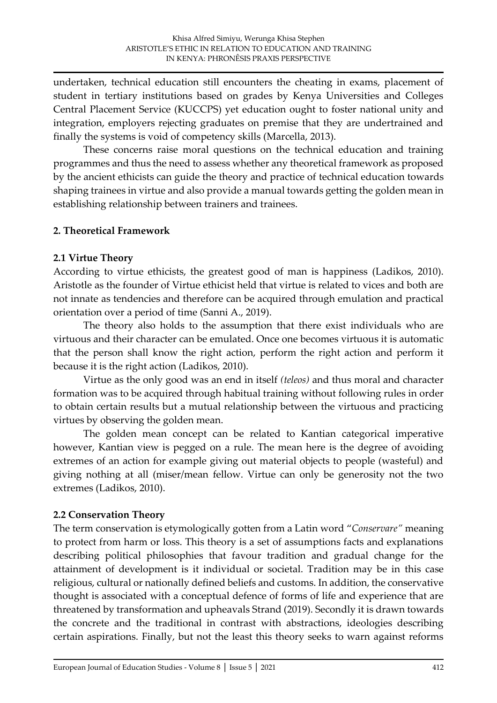undertaken, technical education still encounters the cheating in exams, placement of student in tertiary institutions based on grades by Kenya Universities and Colleges Central Placement Service (KUCCPS) yet education ought to foster national unity and integration, employers rejecting graduates on premise that they are undertrained and finally the systems is void of competency skills (Marcella, 2013).

These concerns raise moral questions on the technical education and training programmes and thus the need to assess whether any theoretical framework as proposed by the ancient ethicists can guide the theory and practice of technical education towards shaping trainees in virtue and also provide a manual towards getting the golden mean in establishing relationship between trainers and trainees.

#### **2. Theoretical Framework**

### **2.1 Virtue Theory**

According to virtue ethicists, the greatest good of man is happiness (Ladikos, 2010). Aristotle as the founder of Virtue ethicist held that virtue is related to vices and both are not innate as tendencies and therefore can be acquired through emulation and practical orientation over a period of time (Sanni A., 2019).

The theory also holds to the assumption that there exist individuals who are virtuous and their character can be emulated. Once one becomes virtuous it is automatic that the person shall know the right action, perform the right action and perform it because it is the right action (Ladikos, 2010).

Virtue as the only good was an end in itself *(teleos)* and thus moral and character formation was to be acquired through habitual training without following rules in order to obtain certain results but a mutual relationship between the virtuous and practicing virtues by observing the golden mean.

The golden mean concept can be related to Kantian categorical imperative however, Kantian view is pegged on a rule. The mean here is the degree of avoiding extremes of an action for example giving out material objects to people (wasteful) and giving nothing at all (miser/mean fellow. Virtue can only be generosity not the two extremes (Ladikos, 2010).

#### **2.2 Conservation Theory**

The term conservation is etymologically gotten from a Latin word "*Conservare"* meaning to protect from harm or loss. This theory is a set of assumptions facts and explanations describing political philosophies that favour tradition and gradual change for the attainment of development is it individual or societal. Tradition may be in this case religious, cultural or nationally defined beliefs and customs. In addition, the conservative thought is associated with a conceptual defence of forms of life and experience that are threatened by transformation and upheavals Strand (2019). Secondly it is drawn towards the concrete and the traditional in contrast with abstractions, ideologies describing certain aspirations. Finally, but not the least this theory seeks to warn against reforms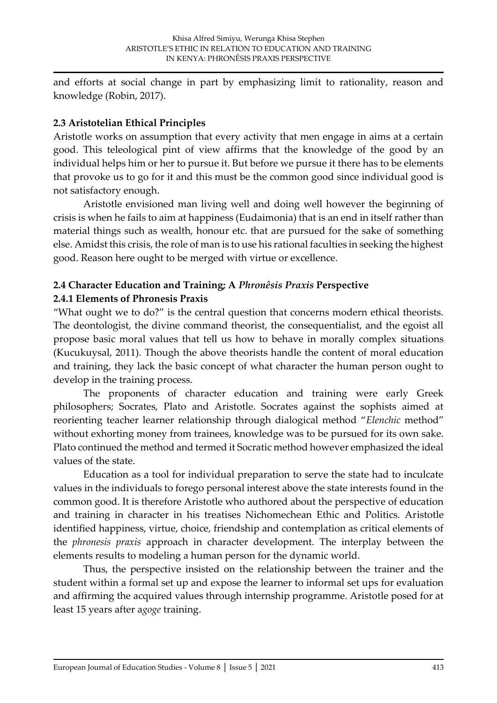and efforts at social change in part by emphasizing limit to rationality, reason and knowledge (Robin, 2017).

### **2.3 Aristotelian Ethical Principles**

Aristotle works on assumption that every activity that men engage in aims at a certain good. This teleological pint of view affirms that the knowledge of the good by an individual helps him or her to pursue it. But before we pursue it there has to be elements that provoke us to go for it and this must be the common good since individual good is not satisfactory enough.

Aristotle envisioned man living well and doing well however the beginning of crisis is when he fails to aim at happiness (Eudaimonia) that is an end in itself rather than material things such as wealth, honour etc. that are pursued for the sake of something else. Amidst this crisis, the role of man is to use his rational faculties in seeking the highest good. Reason here ought to be merged with virtue or excellence.

# **2.4 Character Education and Training; A** *Phronêsis Praxis* **Perspective 2.4.1 Elements of Phronesis Praxis**

"What ought we to do?" is the central question that concerns modern ethical theorists. The deontologist, the divine command theorist, the consequentialist, and the egoist all propose basic moral values that tell us how to behave in morally complex situations (Kucukuysal, 2011). Though the above theorists handle the content of moral education and training, they lack the basic concept of what character the human person ought to develop in the training process.

The proponents of character education and training were early Greek philosophers; Socrates, Plato and Aristotle. Socrates against the sophists aimed at reorienting teacher learner relationship through dialogical method "*Elenchic* method" without exhorting money from trainees, knowledge was to be pursued for its own sake. Plato continued the method and termed it Socratic method however emphasized the ideal values of the state.

Education as a tool for individual preparation to serve the state had to inculcate values in the individuals to forego personal interest above the state interests found in the common good. It is therefore Aristotle who authored about the perspective of education and training in character in his treatises Nichomechean Ethic and Politics. Aristotle identified happiness, virtue, choice, friendship and contemplation as critical elements of the *phronesis praxis* approach in character development. The interplay between the elements results to modeling a human person for the dynamic world.

Thus, the perspective insisted on the relationship between the trainer and the student within a formal set up and expose the learner to informal set ups for evaluation and affirming the acquired values through internship programme. Aristotle posed for at least 15 years after a*goge* training.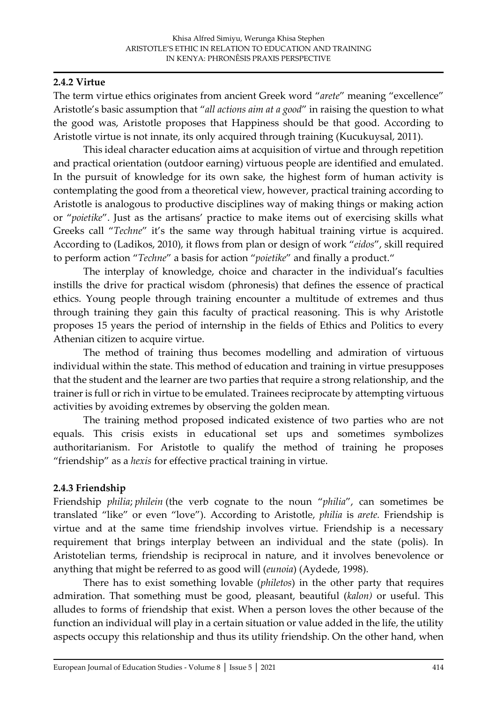#### **2.4.2 Virtue**

The term virtue ethics originates from ancient Greek word "*arete*" meaning "excellence" Aristotle's basic assumption that "*all actions aim at a good*" in raising the question to what the good was, Aristotle proposes that Happiness should be that good. According to Aristotle virtue is not innate, its only acquired through training (Kucukuysal, 2011).

This ideal character education aims at acquisition of virtue and through repetition and practical orientation (outdoor earning) virtuous people are identified and emulated. In the pursuit of knowledge for its own sake, the highest form of human activity is contemplating the good from a theoretical view, however, practical training according to Aristotle is analogous to productive disciplines way of making things or making action or "*poietike*". Just as the artisans' practice to make items out of exercising skills what Greeks call "*Techne*" it's the same way through habitual training virtue is acquired. According to (Ladikos, 2010), it flows from plan or design of work "*eidos*", skill required to perform action "*Techne*" a basis for action "*poietike*" and finally a product."

The interplay of knowledge, choice and character in the individual's faculties instills the drive for practical wisdom (phronesis) that defines the essence of practical ethics. Young people through training encounter a multitude of extremes and thus through training they gain this faculty of practical reasoning. This is why Aristotle proposes 15 years the period of internship in the fields of Ethics and Politics to every Athenian citizen to acquire virtue.

The method of training thus becomes modelling and admiration of virtuous individual within the state. This method of education and training in virtue presupposes that the student and the learner are two parties that require a strong relationship, and the trainer is full or rich in virtue to be emulated. Trainees reciprocate by attempting virtuous activities by avoiding extremes by observing the golden mean.

The training method proposed indicated existence of two parties who are not equals. This crisis exists in educational set ups and sometimes symbolizes authoritarianism. For Aristotle to qualify the method of training he proposes "friendship" as a *hexis* for effective practical training in virtue.

#### **2.4.3 Friendship**

Friendship *philia*; *philein* (the verb cognate to the noun "*philia*", can sometimes be translated "like" or even "love"). According to Aristotle, *philia* is *arete.* Friendship is virtue and at the same time friendship involves virtue. Friendship is a necessary requirement that brings interplay between an individual and the state (polis). In Aristotelian terms, friendship is reciprocal in nature, and it involves benevolence or anything that might be referred to as good will (*eunoia*) (Aydede, 1998).

There has to exist something lovable (*philetos*) in the other party that requires admiration. That something must be good, pleasant, beautiful (*kalon)* or useful. This alludes to forms of friendship that exist. When a person loves the other because of the function an individual will play in a certain situation or value added in the life, the utility aspects occupy this relationship and thus its utility friendship. On the other hand, when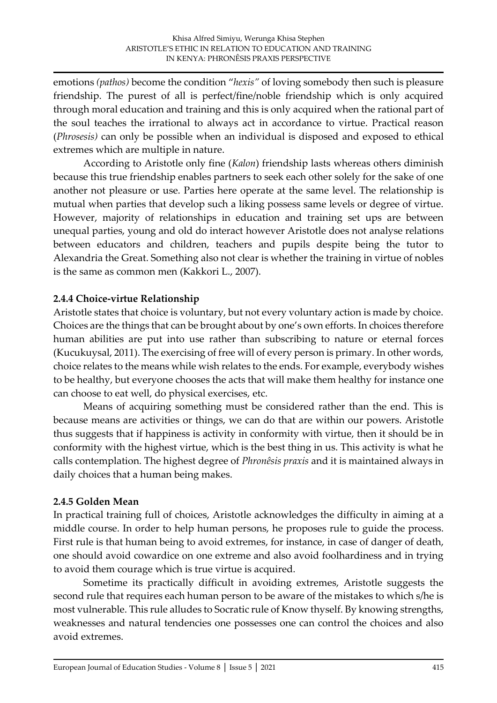emotions *(pathos)* become the condition "*hexis"* of loving somebody then such is pleasure friendship. The purest of all is perfect/fine/noble friendship which is only acquired through moral education and training and this is only acquired when the rational part of the soul teaches the irrational to always act in accordance to virtue. Practical reason (*Phrosesis)* can only be possible when an individual is disposed and exposed to ethical extremes which are multiple in nature.

According to Aristotle only fine (*Kalon*) friendship lasts whereas others diminish because this true friendship enables partners to seek each other solely for the sake of one another not pleasure or use. Parties here operate at the same level. The relationship is mutual when parties that develop such a liking possess same levels or degree of virtue. However, majority of relationships in education and training set ups are between unequal parties, young and old do interact however Aristotle does not analyse relations between educators and children, teachers and pupils despite being the tutor to Alexandria the Great. Something also not clear is whether the training in virtue of nobles is the same as common men (Kakkori L., 2007).

# **2.4.4 Choice-virtue Relationship**

Aristotle states that choice is voluntary, but not every voluntary action is made by choice. Choices are the things that can be brought about by one's own efforts. In choices therefore human abilities are put into use rather than subscribing to nature or eternal forces (Kucukuysal, 2011). The exercising of free will of every person is primary. In other words, choice relates to the means while wish relates to the ends. For example, everybody wishes to be healthy, but everyone chooses the acts that will make them healthy for instance one can choose to eat well, do physical exercises, etc.

Means of acquiring something must be considered rather than the end. This is because means are activities or things, we can do that are within our powers. Aristotle thus suggests that if happiness is activity in conformity with virtue, then it should be in conformity with the highest virtue, which is the best thing in us. This activity is what he calls contemplation. The highest degree of *Phronêsis praxis* and it is maintained always in daily choices that a human being makes.

# **2.4.5 Golden Mean**

In practical training full of choices, Aristotle acknowledges the difficulty in aiming at a middle course. In order to help human persons, he proposes rule to guide the process. First rule is that human being to avoid extremes, for instance, in case of danger of death, one should avoid cowardice on one extreme and also avoid foolhardiness and in trying to avoid them courage which is true virtue is acquired.

Sometime its practically difficult in avoiding extremes, Aristotle suggests the second rule that requires each human person to be aware of the mistakes to which s/he is most vulnerable. This rule alludes to Socratic rule of Know thyself. By knowing strengths, weaknesses and natural tendencies one possesses one can control the choices and also avoid extremes.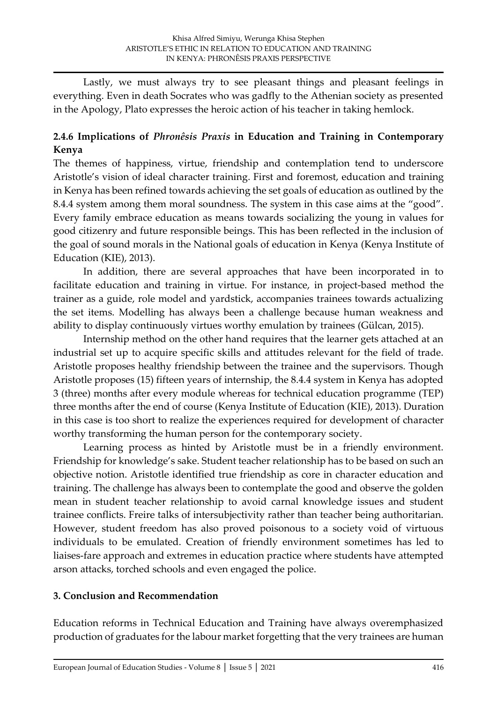Lastly, we must always try to see pleasant things and pleasant feelings in everything. Even in death Socrates who was gadfly to the Athenian society as presented in the Apology, Plato expresses the heroic action of his teacher in taking hemlock.

# **2.4.6 Implications of** *Phronêsis Praxis* **in Education and Training in Contemporary Kenya**

The themes of happiness, virtue, friendship and contemplation tend to underscore Aristotle's vision of ideal character training. First and foremost, education and training in Kenya has been refined towards achieving the set goals of education as outlined by the 8.4.4 system among them moral soundness. The system in this case aims at the "good". Every family embrace education as means towards socializing the young in values for good citizenry and future responsible beings. This has been reflected in the inclusion of the goal of sound morals in the National goals of education in Kenya (Kenya Institute of Education (KIE), 2013).

In addition, there are several approaches that have been incorporated in to facilitate education and training in virtue. For instance, in project-based method the trainer as a guide, role model and yardstick, accompanies trainees towards actualizing the set items. Modelling has always been a challenge because human weakness and ability to display continuously virtues worthy emulation by trainees (Gülcan, 2015).

Internship method on the other hand requires that the learner gets attached at an industrial set up to acquire specific skills and attitudes relevant for the field of trade. Aristotle proposes healthy friendship between the trainee and the supervisors. Though Aristotle proposes (15) fifteen years of internship, the 8.4.4 system in Kenya has adopted 3 (three) months after every module whereas for technical education programme (TEP) three months after the end of course (Kenya Institute of Education (KIE), 2013). Duration in this case is too short to realize the experiences required for development of character worthy transforming the human person for the contemporary society.

Learning process as hinted by Aristotle must be in a friendly environment. Friendship for knowledge's sake. Student teacher relationship has to be based on such an objective notion. Aristotle identified true friendship as core in character education and training. The challenge has always been to contemplate the good and observe the golden mean in student teacher relationship to avoid carnal knowledge issues and student trainee conflicts. Freire talks of intersubjectivity rather than teacher being authoritarian. However, student freedom has also proved poisonous to a society void of virtuous individuals to be emulated. Creation of friendly environment sometimes has led to liaises-fare approach and extremes in education practice where students have attempted arson attacks, torched schools and even engaged the police.

# **3. Conclusion and Recommendation**

Education reforms in Technical Education and Training have always overemphasized production of graduates for the labour market forgetting that the very trainees are human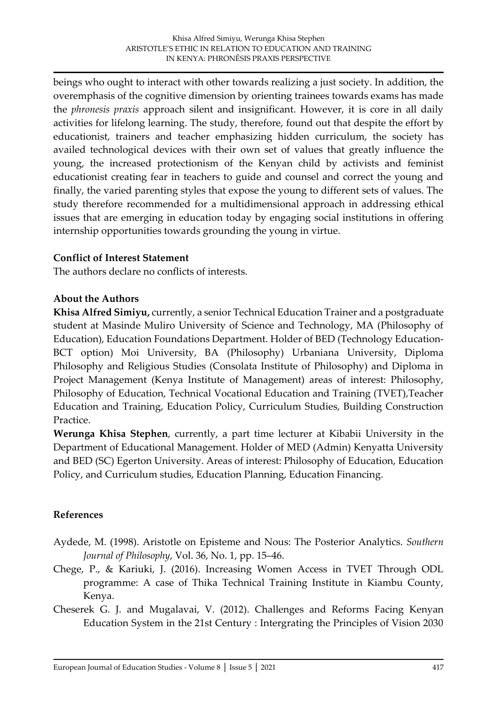beings who ought to interact with other towards realizing a just society. In addition, the overemphasis of the cognitive dimension by orienting trainees towards exams has made the *phronesis praxis* approach silent and insignificant. However, it is core in all daily activities for lifelong learning. The study, therefore, found out that despite the effort by educationist, trainers and teacher emphasizing hidden curriculum, the society has availed technological devices with their own set of values that greatly influence the young, the increased protectionism of the Kenyan child by activists and feminist educationist creating fear in teachers to guide and counsel and correct the young and finally, the varied parenting styles that expose the young to different sets of values. The study therefore recommended for a multidimensional approach in addressing ethical issues that are emerging in education today by engaging social institutions in offering internship opportunities towards grounding the young in virtue.

#### **Conflict of Interest Statement**

The authors declare no conflicts of interests.

#### **About the Authors**

**Khisa Alfred Simiyu,** currently, a senior Technical Education Trainer and a postgraduate student at Masinde Muliro University of Science and Technology, MA (Philosophy of Education), Education Foundations Department. Holder of BED (Technology Education-BCT option) Moi University, BA (Philosophy) Urbaniana University, Diploma Philosophy and Religious Studies (Consolata Institute of Philosophy) and Diploma in Project Management (Kenya Institute of Management) areas of interest: Philosophy, Philosophy of Education, Technical Vocational Education and Training (TVET),Teacher Education and Training, Education Policy, Curriculum Studies, Building Construction Practice.

**Werunga Khisa Stephen**, currently, a part time lecturer at Kibabii University in the Department of Educational Management. Holder of MED (Admin) Kenyatta University and BED (SC) Egerton University. Areas of interest: Philosophy of Education, Education Policy, and Curriculum studies, Education Planning, Education Financing.

#### **References**

- Aydede, M. (1998). Aristotle on Episteme and Nous: The Posterior Analytics. *Southern Journal of Philosophy*, Vol. 36, No. 1, pp. 15–46.
- Chege, P., & Kariuki, J. (2016). Increasing Women Access in TVET Through ODL programme: A case of Thika Technical Training Institute in Kiambu County, Kenya.
- Cheserek G. J. and Mugalavai, V. (2012). Challenges and Reforms Facing Kenyan Education System in the 21st Century : Intergrating the Principles of Vision 2030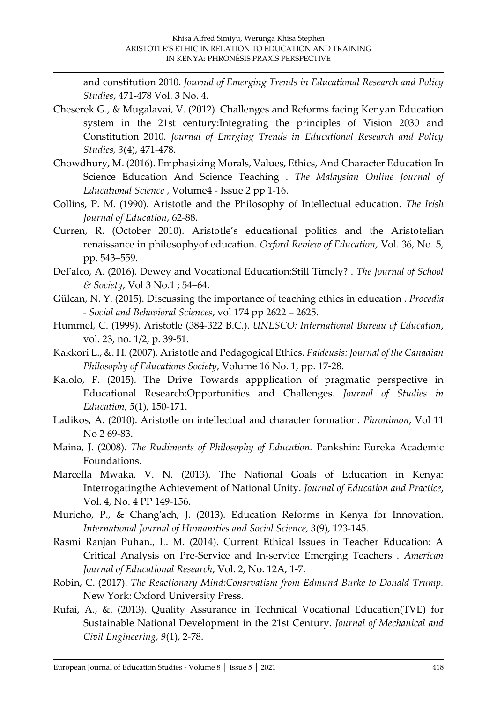and constitution 2010. *Journal of Emerging Trends in Educational Research and Policy Studies*, 471-478 Vol. 3 No. 4.

- Cheserek G., & Mugalavai, V. (2012). Challenges and Reforms facing Kenyan Education system in the 21st century:Integrating the principles of Vision 2030 and Constitution 2010. *Journal of Emrging Trends in Educational Research and Policy Studies, 3*(4), 471-478.
- Chowdhury, M. (2016). Emphasizing Morals, Values, Ethics, And Character Education In Science Education And Science Teaching . *The Malaysian Online Journal of Educational Science* , Volume4 - Issue 2 pp 1-16.
- Collins, P. M. (1990). Aristotle and the Philosophy of Intellectual education. *The Irish Journal of Education*, 62-88.
- Curren, R. (October 2010). Aristotle's educational politics and the Aristotelian renaissance in philosophyof education. *Oxford Review of Education*, Vol. 36, No. 5, pp. 543–559.
- DeFalco, A. (2016). Dewey and Vocational Education:Still Timely? . *The Journal of School & Society*, Vol 3 No.1 ; 54–64.
- Gülcan, N. Y. (2015). Discussing the importance of teaching ethics in education . *Procedia - Social and Behavioral Sciences*, vol 174 pp 2622 – 2625.
- Hummel, C. (1999). Aristotle (384-322 B.C.). *UNESCO: International Bureau of Education*, vol. 23, no. 1/2, p. 39-51.
- Kakkori L., &. H. (2007). Aristotle and Pedagogical Ethics. *Paideusis: Journal of the Canadian Philosophy of Educations Society*, Volume 16 No. 1, pp. 17-28.
- Kalolo, F. (2015). The Drive Towards appplication of pragmatic perspective in Educational Research:Opportunities and Challenges. *Journal of Studies in Education, 5*(1), 150-171.
- Ladikos, A. (2010). Aristotle on intellectual and character formation. *Phronimon*, Vol 11 No 2 69-83.
- Maina, J. (2008). *The Rudiments of Philosophy of Education.* Pankshin: Eureka Academic Foundations.
- Marcella Mwaka, V. N. (2013). The National Goals of Education in Kenya: Interrogatingthe Achievement of National Unity. *Journal of Education and Practice*, Vol. 4, No. 4 PP 149-156.
- Muricho, P., & Chang'ach, J. (2013). Education Reforms in Kenya for Innovation. *International Journal of Humanities and Social Science, 3*(9), 123-145.
- Rasmi Ranjan Puhan., L. M. (2014). Current Ethical Issues in Teacher Education: A Critical Analysis on Pre-Service and In-service Emerging Teachers . *American Journal of Educational Research*, Vol. 2, No. 12A, 1-7.
- Robin, C. (2017). *The Reactionary Mind:Consrvatism from Edmund Burke to Donald Trump.* New York: Oxford University Press.
- Rufai, A., &. (2013). Quality Assurance in Technical Vocational Education(TVE) for Sustainable National Development in the 21st Century. *Journal of Mechanical and Civil Engineering, 9*(1), 2-78.